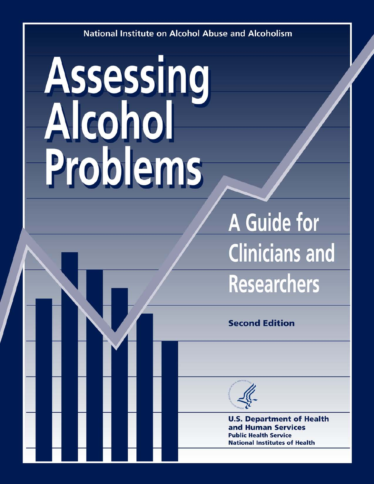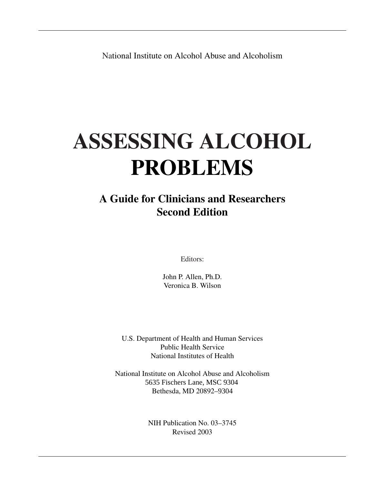National Institute on Alcohol Abuse and Alcoholism

# **ASSESSING ALCOHOL PROBLEMS**

### **A Guide for Clinicians and Researchers Second Edition**

Editors:

John P. Allen, Ph.D. Veronica B. Wilson

U.S. Department of Health and Human Services Public Health Service National Institutes of Health

National Institute on Alcohol Abuse and Alcoholism 5635 Fischers Lane, MSC 9304 Bethesda, MD 20892–9304

> NIH Publication No. 03–3745 Revised 2003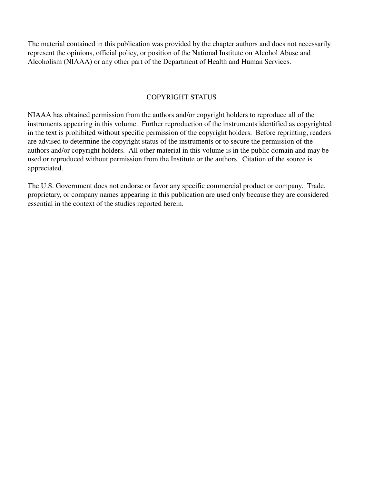The material contained in this publication was provided by the chapter authors and does not necessarily represent the opinions, official policy, or position of the National Institute on Alcohol Abuse and Alcoholism (NIAAA) or any other part of the Department of Health and Human Services.

#### COPYRIGHT STATUS

NIAAA has obtained permission from the authors and/or copyright holders to reproduce all of the instruments appearing in this volume. Further reproduction of the instruments identified as copyrighted in the text is prohibited without specific permission of the copyright holders. Before reprinting, readers are advised to determine the copyright status of the instruments or to secure the permission of the authors and/or copyright holders. All other material in this volume is in the public domain and may be used or reproduced without permission from the Institute or the authors. Citation of the source is appreciated.

The U.S. Government does not endorse or favor any specific commercial product or company. Trade, proprietary, or company names appearing in this publication are used only because they are considered essential in the context of the studies reported herein.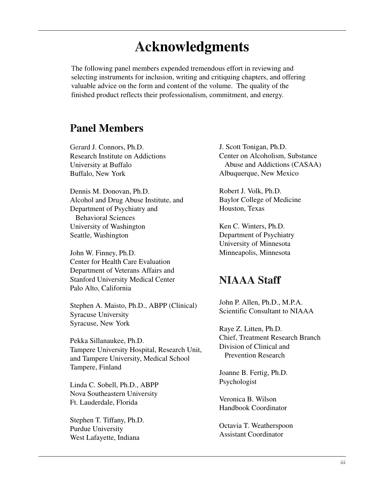## **Acknowledgments**

The following panel members expended tremendous effort in reviewing and selecting instruments for inclusion, writing and critiquing chapters, and offering valuable advice on the form and content of the volume. The quality of the finished product reflects their professionalism, commitment, and energy.

#### **Panel Members**

Gerard J. Connors, Ph.D. Research Institute on Addictions University at Buffalo Buffalo, New York

Dennis M. Donovan, Ph.D. Alcohol and Drug Abuse Institute, and Department of Psychiatry and Behavioral Sciences University of Washington Seattle, Washington

John W. Finney, Ph.D. Center for Health Care Evaluation Department of Veterans Affairs and Stanford University Medical Center Palo Alto, California

Stephen A. Maisto, Ph.D., ABPP (Clinical) Syracuse University Syracuse, New York

Pekka Sillanaukee, Ph.D. Tampere University Hospital, Research Unit, and Tampere University, Medical School Tampere, Finland

Linda C. Sobell, Ph.D., ABPP Nova Southeastern University Ft. Lauderdale, Florida

Stephen T. Tiffany, Ph.D. Purdue University West Lafayette, Indiana

J. Scott Tonigan, Ph.D. Center on Alcoholism, Substance Abuse and Addictions (CASAA) Albuquerque, New Mexico

Robert J. Volk, Ph.D. Baylor College of Medicine Houston, Texas

Ken C. Winters, Ph.D. Department of Psychiatry University of Minnesota Minneapolis, Minnesota

### **NIAAA Staff**

John P. Allen, Ph.D., M.P.A. Scientific Consultant to NIAAA

Raye Z. Litten, Ph.D. Chief, Treatment Research Branch Division of Clinical and Prevention Research

Joanne B. Fertig, Ph.D. Psychologist

Veronica B. Wilson Handbook Coordinator

Octavia T. Weatherspoon Assistant Coordinator